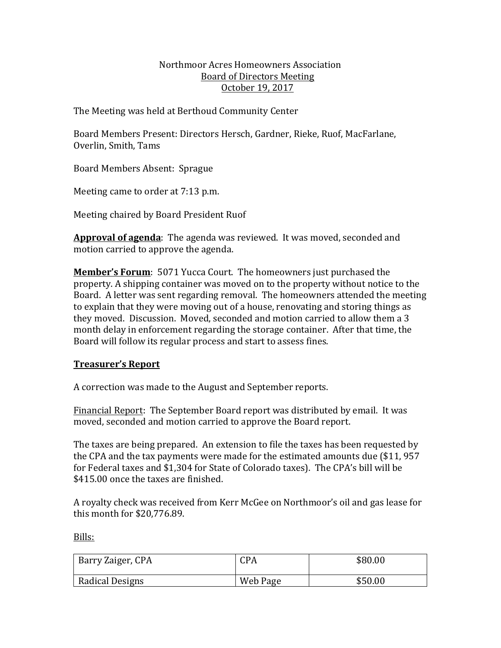### Northmoor Acres Homeowners Association Board of Directors Meeting October 19, 2017

The Meeting was held at Berthoud Community Center

Board Members Present: Directors Hersch, Gardner, Rieke, Ruof, MacFarlane, Overlin, Smith, Tams

Board Members Absent: Sprague

Meeting came to order at 7:13 p.m.

Meeting chaired by Board President Ruof

Approval of agenda: The agenda was reviewed. It was moved, seconded and motion carried to approve the agenda.

**Member's Forum**: 5071 Yucca Court. The homeowners just purchased the property. A shipping container was moved on to the property without notice to the Board. A letter was sent regarding removal. The homeowners attended the meeting to explain that they were moving out of a house, renovating and storing things as they moved. Discussion. Moved, seconded and motion carried to allow them a 3 month delay in enforcement regarding the storage container. After that time, the Board will follow its regular process and start to assess fines.

# **Treasurer's Report**

A correction was made to the August and September reports.

Financial Report: The September Board report was distributed by email. It was moved, seconded and motion carried to approve the Board report.

The taxes are being prepared. An extension to file the taxes has been requested by the CPA and the tax payments were made for the estimated amounts due  $$11, 957$ for Federal taxes and \$1,304 for State of Colorado taxes). The CPA's bill will be \$415.00 once the taxes are finished.

A royalty check was received from Kerr McGee on Northmoor's oil and gas lease for this month for  $$20,776.89$ .

Bills:

| Barry Zaiger, CPA | CPA      | \$80.00 |
|-------------------|----------|---------|
| Radical Designs   | Web Page | \$50.00 |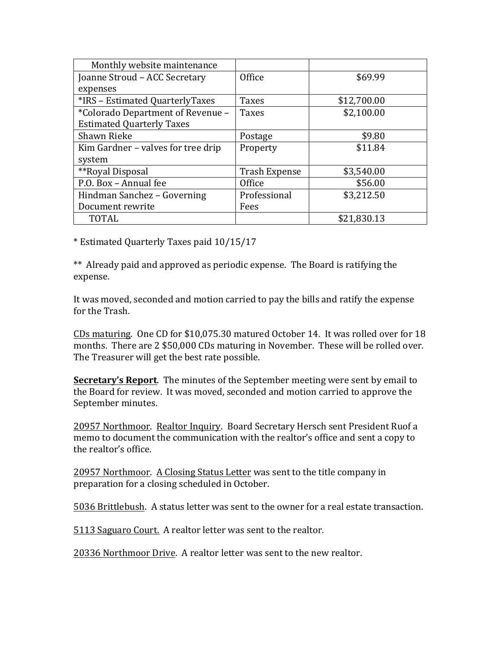| Monthly website maintenance        |                      |             |
|------------------------------------|----------------------|-------------|
| Joanne Stroud - ACC Secretary      | Office               | \$69.99     |
| expenses                           |                      |             |
| *IRS - Estimated QuarterlyTaxes    | <b>Taxes</b>         | \$12,700.00 |
| *Colorado Department of Revenue -  | <b>Taxes</b>         | \$2,100.00  |
| <b>Estimated Quarterly Taxes</b>   |                      |             |
| Shawn Rieke                        | Postage              | \$9.80      |
| Kim Gardner - valves for tree drip | Property             | \$11.84     |
| system                             |                      |             |
| **Royal Disposal                   | <b>Trash Expense</b> | \$3,540.00  |
| P.O. Box - Annual fee              | Office               | \$56.00     |
| Hindman Sanchez - Governing        | Professional         | \$3,212.50  |
| Document rewrite                   | Fees                 |             |
| <b>TOTAL</b>                       |                      | \$21,830.13 |

\* Estimated Quarterly Taxes paid 10/15/17

\*\* Already paid and approved as periodic expense. The Board is ratifying the expense.

It was moved, seconded and motion carried to pay the bills and ratify the expense for the Trash.

CDs maturing. One CD for \$10,075.30 matured October 14. It was rolled over for 18 months. There are 2 \$50,000 CDs maturing in November. These will be rolled over. The Treasurer will get the best rate possible.

**Secretary's Report**. The minutes of the September meeting were sent by email to the Board for review. It was moved, seconded and motion carried to approve the September minutes.

20957 Northmoor. Realtor Inquiry. Board Secretary Hersch sent President Ruof a memo to document the communication with the realtor's office and sent a copy to the realtor's office.

20957 Northmoor. A Closing Status Letter was sent to the title company in preparation for a closing scheduled in October.

5036 Brittlebush. A status letter was sent to the owner for a real estate transaction.

5113 Saguaro Court. A realtor letter was sent to the realtor.

20336 Northmoor Drive. A realtor letter was sent to the new realtor.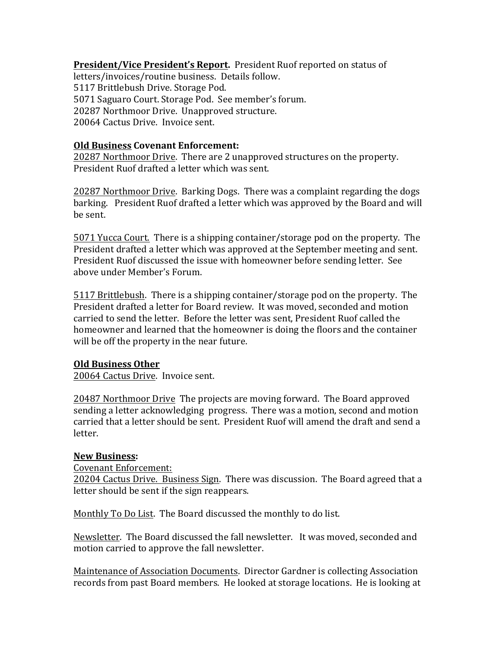**President/Vice President's Report.** President Ruof reported on status of letters/invoices/routine business. Details follow. 5117 Brittlebush Drive. Storage Pod. 5071 Saguaro Court. Storage Pod. See member's forum. 20287 Northmoor Drive. Unapproved structure. 20064 Cactus Drive. Invoice sent.

### **Old Business Covenant Enforcement:**

20287 Northmoor Drive. There are 2 unapproved structures on the property. President Ruof drafted a letter which was sent.

20287 Northmoor Drive. Barking Dogs. There was a complaint regarding the dogs barking. President Ruof drafted a letter which was approved by the Board and will be sent. 

**5071** Yucca Court. There is a shipping container/storage pod on the property. The President drafted a letter which was approved at the September meeting and sent. President Ruof discussed the issue with homeowner before sending letter. See above under Member's Forum.

5117 Brittlebush. There is a shipping container/storage pod on the property. The President drafted a letter for Board review. It was moved, seconded and motion carried to send the letter. Before the letter was sent. President Ruof called the homeowner and learned that the homeowner is doing the floors and the container will be off the property in the near future.

#### **Old Business Other**

20064 Cactus Drive. Invoice sent.

20487 Northmoor Drive The projects are moving forward. The Board approved sending a letter acknowledging progress. There was a motion, second and motion carried that a letter should be sent. President Ruof will amend the draft and send a letter.

#### **New Business:**

Covenant Enforcement:

20204 Cactus Drive. Business Sign. There was discussion. The Board agreed that a letter should be sent if the sign reappears.

Monthly To Do List. The Board discussed the monthly to do list.

Newsletter. The Board discussed the fall newsletter. It was moved, seconded and motion carried to approve the fall newsletter.

Maintenance of Association Documents. Director Gardner is collecting Association records from past Board members. He looked at storage locations. He is looking at